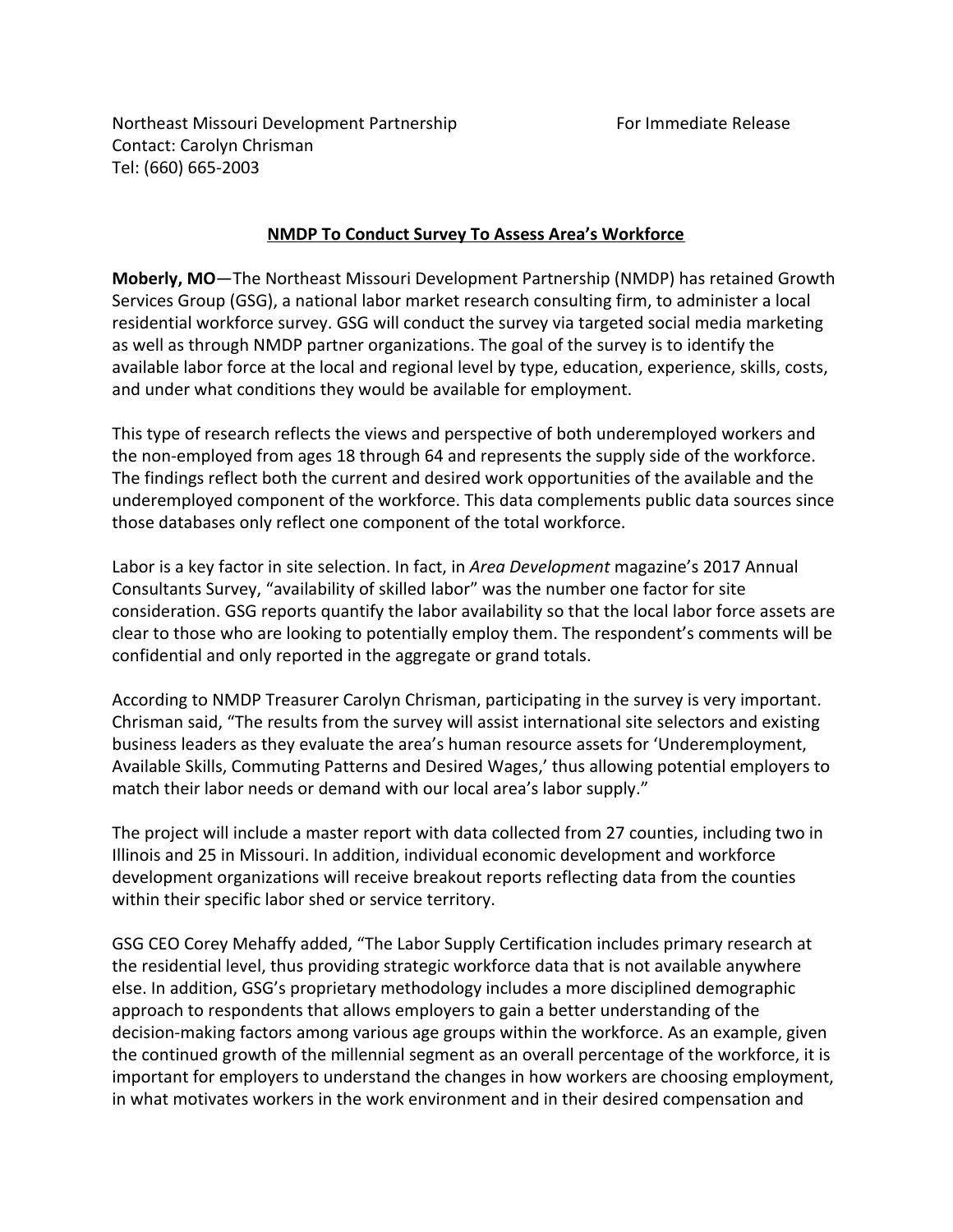Northeast Missouri Development Partnership For Immediate Release Contact: Carolyn Chrisman Tel: (660) 665-2003

## **NMDP To Conduct Survey To Assess Area's Workforce**

**Moberly, MO**—The Northeast Missouri Development Partnership (NMDP) has retained Growth Services Group (GSG), a national labor market research consulting firm, to administer a local residential workforce survey. GSG will conduct the survey via targeted social media marketing as well as through NMDP partner organizations. The goal of the survey is to identify the available labor force at the local and regional level by type, education, experience, skills, costs, and under what conditions they would be available for employment.

This type of research reflects the views and perspective of both underemployed workers and the non-employed from ages 18 through 64 and represents the supply side of the workforce. The findings reflect both the current and desired work opportunities of the available and the underemployed component of the workforce. This data complements public data sources since those databases only reflect one component of the total workforce.

Labor is a key factor in site selection. In fact, in *Area Development* magazine's 2017 Annual Consultants Survey, "availability of skilled labor" was the number one factor for site consideration. GSG reports quantify the labor availability so that the local labor force assets are clear to those who are looking to potentially employ them. The respondent's comments will be confidential and only reported in the aggregate or grand totals.

According to NMDP Treasurer Carolyn Chrisman, participating in the survey is very important. Chrisman said, "The results from the survey will assist international site selectors and existing business leaders as they evaluate the area's human resource assets for 'Underemployment, Available Skills, Commuting Patterns and Desired Wages,' thus allowing potential employers to match their labor needs or demand with our local area's labor supply."

The project will include a master report with data collected from 27 counties, including two in Illinois and 25 in Missouri. In addition, individual economic development and workforce development organizations will receive breakout reports reflecting data from the counties within their specific labor shed or service territory.

GSG CEO Corey Mehaffy added, "The Labor Supply Certification includes primary research at the residential level, thus providing strategic workforce data that is not available anywhere else. In addition, GSG's proprietary methodology includes a more disciplined demographic approach to respondents that allows employers to gain a better understanding of the decision-making factors among various age groups within the workforce. As an example, given the continued growth of the millennial segment as an overall percentage of the workforce, it is important for employers to understand the changes in how workers are choosing employment, in what motivates workers in the work environment and in their desired compensation and